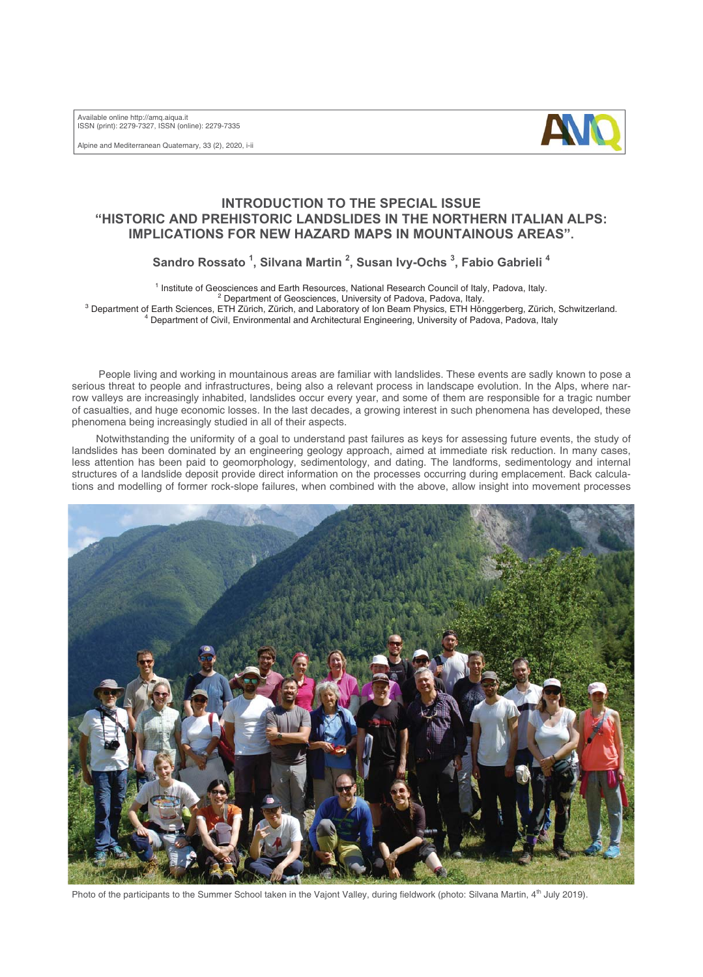Available online http://amq.aiqua.it ISSN (print): 2279-7327, ISSN (online): 2279-7335

Alpine and Mediterranean Quaternary, 33 (2), 2020, i-ii



## **INTRODUCTION TO THE SPECIAL ISSUE "HISTORIC AND PREHISTORIC LANDSLIDES IN THE NORTHERN ITALIAN ALPS: IMPLICATIONS FOR NEW HAZARD MAPS IN MOUNTAINOUS AREAS".**

**Sandro Rossato 1 , Silvana Martin <sup>2</sup> , Susan Ivy-Ochs <sup>3</sup> , Fabio Gabrieli 4**

<sup>1</sup> Institute of Geosciences and Earth Resources, National Research Council of Italy, Padova, Italy.

Department of Geosciences, University of Padova, Padova, Italy.<br>3 Department of Earth Sciences, ETH Zürich, Zürich, and Laboratory of Ion Boom Physics, ETH Hän

<sup>3</sup> Department of Earth Sciences, ETH Zürich, Zürich, and Laboratory of Ion Beam Physics, ETH Hönggerberg, Zürich, Schwitzerland. Department of Civil, Environmental and Architectural Engineering, University of Padova, Padova, Italy

People living and working in mountainous areas are familiar with landslides. These events are sadly known to pose a serious threat to people and infrastructures, being also a relevant process in landscape evolution. In the Alps, where narrow valleys are increasingly inhabited, landslides occur every year, and some of them are responsible for a tragic number of casualties, and huge economic losses. In the last decades, a growing interest in such phenomena has developed, these phenomena being increasingly studied in all of their aspects.

Notwithstanding the uniformity of a goal to understand past failures as keys for assessing future events, the study of landslides has been dominated by an engineering geology approach, aimed at immediate risk reduction. In many cases, less attention has been paid to geomorphology, sedimentology, and dating. The landforms, sedimentology and internal structures of a landslide deposit provide direct information on the processes occurring during emplacement. Back calculations and modelling of former rock-slope failures, when combined with the above, allow insight into movement processes



Photo of the participants to the Summer School taken in the Vajont Valley, during fieldwork (photo: Silvana Martin, 4<sup>th</sup> July 2019).